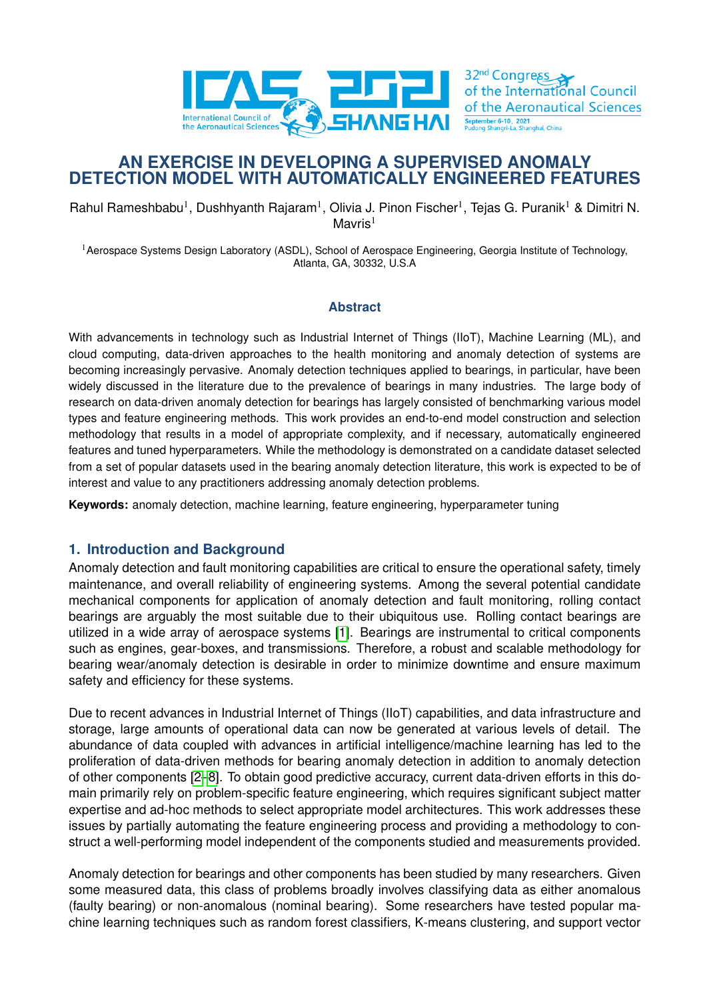

# **AN EXERCISE IN DEVELOPING A SUPERVISED ANOMALY DETECTION MODEL WITH AUTOMATICALLY ENGINEERED FEATURES**

Rahul Rameshbabu<sup>1</sup>, Dushhyanth Rajaram<sup>1</sup>, Olivia J. Pinon Fischer<sup>1</sup>, Tejas G. Puranik<sup>1</sup> & Dimitri N. Mavris $1$ 

<sup>1</sup> Aerospace Systems Design Laboratory (ASDL), School of Aerospace Engineering, Georgia Institute of Technology, Atlanta, GA, 30332, U.S.A

### **Abstract**

With advancements in technology such as Industrial Internet of Things (IIoT), Machine Learning (ML), and cloud computing, data-driven approaches to the health monitoring and anomaly detection of systems are becoming increasingly pervasive. Anomaly detection techniques applied to bearings, in particular, have been widely discussed in the literature due to the prevalence of bearings in many industries. The large body of research on data-driven anomaly detection for bearings has largely consisted of benchmarking various model types and feature engineering methods. This work provides an end-to-end model construction and selection methodology that results in a model of appropriate complexity, and if necessary, automatically engineered features and tuned hyperparameters. While the methodology is demonstrated on a candidate dataset selected from a set of popular datasets used in the bearing anomaly detection literature, this work is expected to be of interest and value to any practitioners addressing anomaly detection problems.

**Keywords:** anomaly detection, machine learning, feature engineering, hyperparameter tuning

### **1. Introduction and Background**

Anomaly detection and fault monitoring capabilities are critical to ensure the operational safety, timely maintenance, and overall reliability of engineering systems. Among the several potential candidate mechanical components for application of anomaly detection and fault monitoring, rolling contact bearings are arguably the most suitable due to their ubiquitous use. Rolling contact bearings are utilized in a wide array of aerospace systems [\[1\]](#page-13-0). Bearings are instrumental to critical components such as engines, gear-boxes, and transmissions. Therefore, a robust and scalable methodology for bearing wear/anomaly detection is desirable in order to minimize downtime and ensure maximum safety and efficiency for these systems.

Due to recent advances in Industrial Internet of Things (IIoT) capabilities, and data infrastructure and storage, large amounts of operational data can now be generated at various levels of detail. The abundance of data coupled with advances in artificial intelligence/machine learning has led to the proliferation of data-driven methods for bearing anomaly detection in addition to anomaly detection of other components [\[2–](#page-13-1)[8\]](#page-13-2). To obtain good predictive accuracy, current data-driven efforts in this domain primarily rely on problem-specific feature engineering, which requires significant subject matter expertise and ad-hoc methods to select appropriate model architectures. This work addresses these issues by partially automating the feature engineering process and providing a methodology to construct a well-performing model independent of the components studied and measurements provided.

Anomaly detection for bearings and other components has been studied by many researchers. Given some measured data, this class of problems broadly involves classifying data as either anomalous (faulty bearing) or non-anomalous (nominal bearing). Some researchers have tested popular machine learning techniques such as random forest classifiers, K-means clustering, and support vector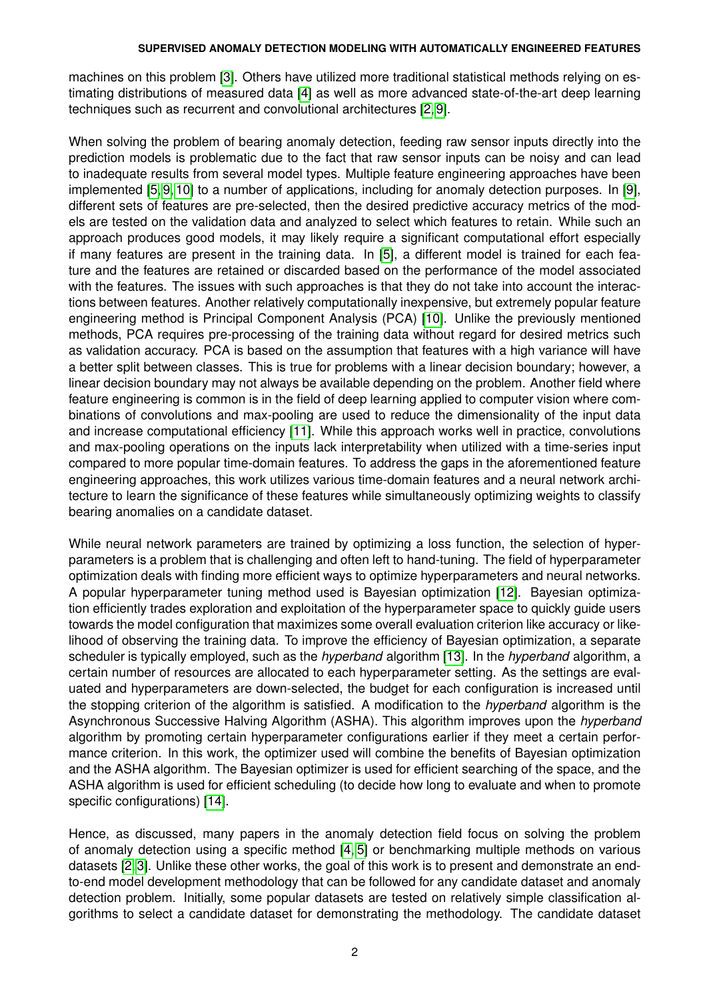machines on this problem [\[3\]](#page-13-3). Others have utilized more traditional statistical methods relying on estimating distributions of measured data [\[4\]](#page-13-4) as well as more advanced state-of-the-art deep learning techniques such as recurrent and convolutional architectures [\[2,](#page-13-1) [9\]](#page-13-5).

When solving the problem of bearing anomaly detection, feeding raw sensor inputs directly into the prediction models is problematic due to the fact that raw sensor inputs can be noisy and can lead to inadequate results from several model types. Multiple feature engineering approaches have been implemented [\[5,](#page-13-6) [9,](#page-13-5) [10\]](#page-13-7) to a number of applications, including for anomaly detection purposes. In [\[9\]](#page-13-5), different sets of features are pre-selected, then the desired predictive accuracy metrics of the models are tested on the validation data and analyzed to select which features to retain. While such an approach produces good models, it may likely require a significant computational effort especially if many features are present in the training data. In [\[5\]](#page-13-6), a different model is trained for each feature and the features are retained or discarded based on the performance of the model associated with the features. The issues with such approaches is that they do not take into account the interactions between features. Another relatively computationally inexpensive, but extremely popular feature engineering method is Principal Component Analysis (PCA) [\[10\]](#page-13-7). Unlike the previously mentioned methods, PCA requires pre-processing of the training data without regard for desired metrics such as validation accuracy. PCA is based on the assumption that features with a high variance will have a better split between classes. This is true for problems with a linear decision boundary; however, a linear decision boundary may not always be available depending on the problem. Another field where feature engineering is common is in the field of deep learning applied to computer vision where combinations of convolutions and max-pooling are used to reduce the dimensionality of the input data and increase computational efficiency [\[11\]](#page-13-8). While this approach works well in practice, convolutions and max-pooling operations on the inputs lack interpretability when utilized with a time-series input compared to more popular time-domain features. To address the gaps in the aforementioned feature engineering approaches, this work utilizes various time-domain features and a neural network architecture to learn the significance of these features while simultaneously optimizing weights to classify bearing anomalies on a candidate dataset.

While neural network parameters are trained by optimizing a loss function, the selection of hyperparameters is a problem that is challenging and often left to hand-tuning. The field of hyperparameter optimization deals with finding more efficient ways to optimize hyperparameters and neural networks. A popular hyperparameter tuning method used is Bayesian optimization [\[12\]](#page-13-9). Bayesian optimization efficiently trades exploration and exploitation of the hyperparameter space to quickly guide users towards the model configuration that maximizes some overall evaluation criterion like accuracy or likelihood of observing the training data. To improve the efficiency of Bayesian optimization, a separate scheduler is typically employed, such as the *hyperband* algorithm [\[13\]](#page-13-10). In the *hyperband* algorithm, a certain number of resources are allocated to each hyperparameter setting. As the settings are evaluated and hyperparameters are down-selected, the budget for each configuration is increased until the stopping criterion of the algorithm is satisfied. A modification to the *hyperband* algorithm is the Asynchronous Successive Halving Algorithm (ASHA). This algorithm improves upon the *hyperband* algorithm by promoting certain hyperparameter configurations earlier if they meet a certain performance criterion. In this work, the optimizer used will combine the benefits of Bayesian optimization and the ASHA algorithm. The Bayesian optimizer is used for efficient searching of the space, and the ASHA algorithm is used for efficient scheduling (to decide how long to evaluate and when to promote specific configurations) [\[14\]](#page-13-11).

Hence, as discussed, many papers in the anomaly detection field focus on solving the problem of anomaly detection using a specific method [\[4,](#page-13-4) [5\]](#page-13-6) or benchmarking multiple methods on various datasets [\[2,](#page-13-1) [3\]](#page-13-3). Unlike these other works, the goal of this work is to present and demonstrate an endto-end model development methodology that can be followed for any candidate dataset and anomaly detection problem. Initially, some popular datasets are tested on relatively simple classification algorithms to select a candidate dataset for demonstrating the methodology. The candidate dataset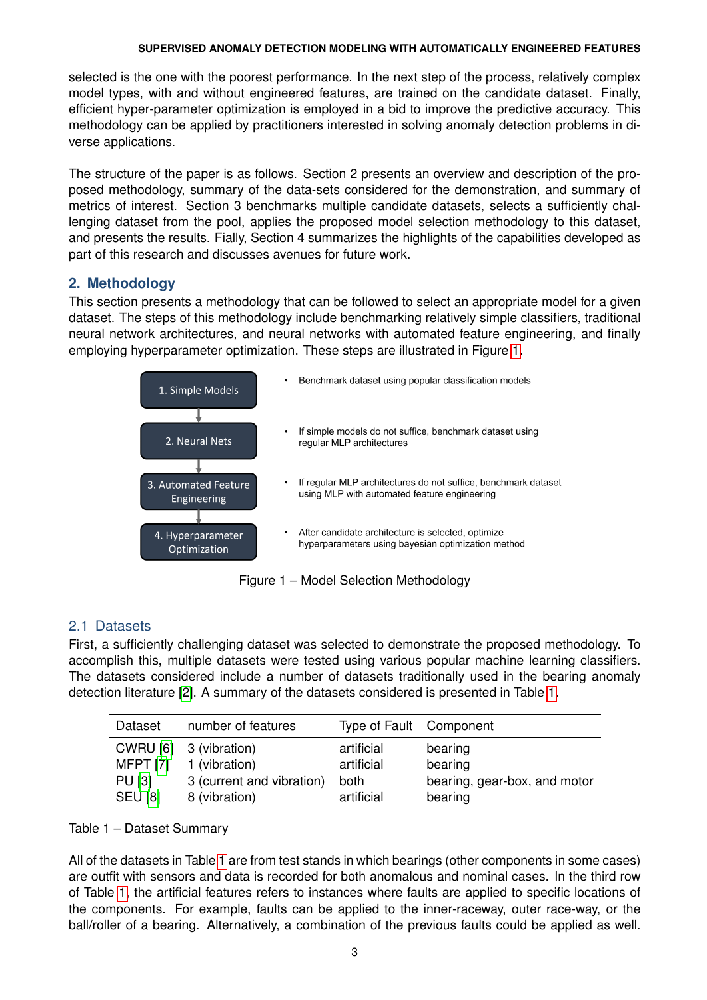selected is the one with the poorest performance. In the next step of the process, relatively complex model types, with and without engineered features, are trained on the candidate dataset. Finally, efficient hyper-parameter optimization is employed in a bid to improve the predictive accuracy. This methodology can be applied by practitioners interested in solving anomaly detection problems in diverse applications.

The structure of the paper is as follows. Section 2 presents an overview and description of the proposed methodology, summary of the data-sets considered for the demonstration, and summary of metrics of interest. Section 3 benchmarks multiple candidate datasets, selects a sufficiently challenging dataset from the pool, applies the proposed model selection methodology to this dataset, and presents the results. Fially, Section 4 summarizes the highlights of the capabilities developed as part of this research and discusses avenues for future work.

## **2. Methodology**

This section presents a methodology that can be followed to select an appropriate model for a given dataset. The steps of this methodology include benchmarking relatively simple classifiers, traditional neural network architectures, and neural networks with automated feature engineering, and finally employing hyperparameter optimization. These steps are illustrated in Figure [1.](#page-2-0)

<span id="page-2-0"></span>

Figure 1 – Model Selection Methodology

## 2.1 Datasets

First, a sufficiently challenging dataset was selected to demonstrate the proposed methodology. To accomplish this, multiple datasets were tested using various popular machine learning classifiers. The datasets considered include a number of datasets traditionally used in the bearing anomaly detection literature [\[2\]](#page-13-1). A summary of the datasets considered is presented in Table [1.](#page-2-1)

<span id="page-2-1"></span>

| Dataset         | number of features        | Type of Fault Component |                              |
|-----------------|---------------------------|-------------------------|------------------------------|
| <b>CWRU [6]</b> | 3 (vibration)             | artificial              | bearing                      |
| <b>MFPT [7]</b> | 1 (vibration)             | artificial              | bearing                      |
| <b>PU [3]</b>   | 3 (current and vibration) | both                    | bearing, gear-box, and motor |
| <b>SEU [8]</b>  | 8 (vibration)             | artificial              | bearing                      |

### Table 1 – Dataset Summary

All of the datasets in Table [1](#page-2-1) are from test stands in which bearings (other components in some cases) are outfit with sensors and data is recorded for both anomalous and nominal cases. In the third row of Table [1,](#page-2-1) the artificial features refers to instances where faults are applied to specific locations of the components. For example, faults can be applied to the inner-raceway, outer race-way, or the ball/roller of a bearing. Alternatively, a combination of the previous faults could be applied as well.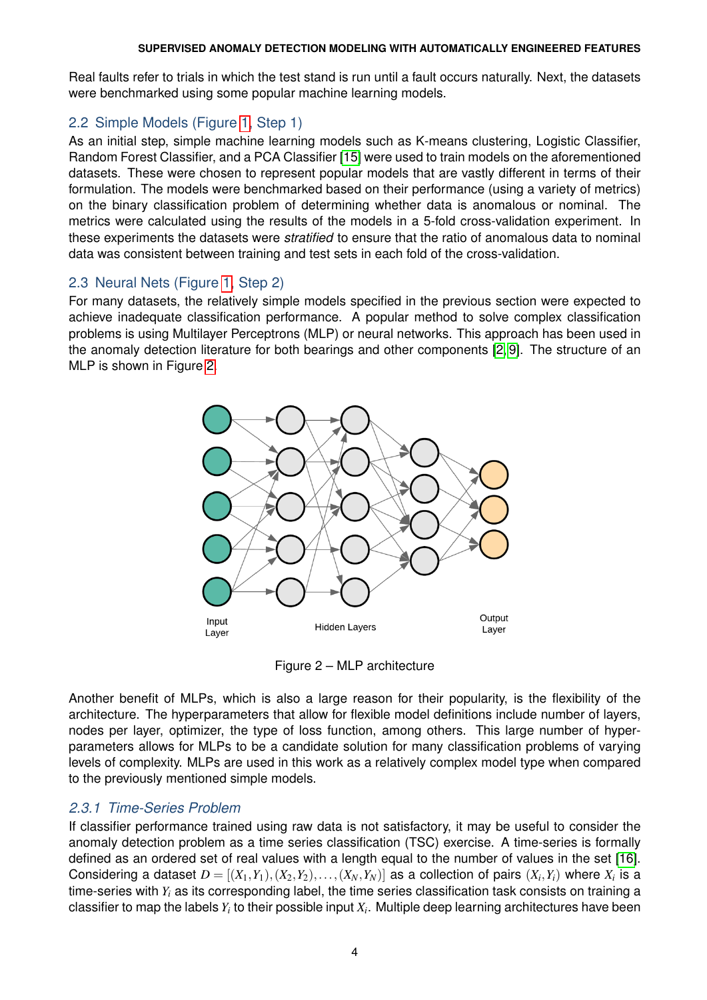Real faults refer to trials in which the test stand is run until a fault occurs naturally. Next, the datasets were benchmarked using some popular machine learning models.

## 2.2 Simple Models (Figure [1,](#page-2-0) Step 1)

As an initial step, simple machine learning models such as K-means clustering, Logistic Classifier, Random Forest Classifier, and a PCA Classifier [\[15\]](#page-13-14) were used to train models on the aforementioned datasets. These were chosen to represent popular models that are vastly different in terms of their formulation. The models were benchmarked based on their performance (using a variety of metrics) on the binary classification problem of determining whether data is anomalous or nominal. The metrics were calculated using the results of the models in a 5-fold cross-validation experiment. In these experiments the datasets were *stratified* to ensure that the ratio of anomalous data to nominal data was consistent between training and test sets in each fold of the cross-validation.

## 2.3 Neural Nets (Figure [1,](#page-2-0) Step 2)

<span id="page-3-0"></span>For many datasets, the relatively simple models specified in the previous section were expected to achieve inadequate classification performance. A popular method to solve complex classification problems is using Multilayer Perceptrons (MLP) or neural networks. This approach has been used in the anomaly detection literature for both bearings and other components [\[2,](#page-13-1) [9\]](#page-13-5). The structure of an MLP is shown in Figure [2.](#page-3-0)



Figure 2 – MLP architecture

Another benefit of MLPs, which is also a large reason for their popularity, is the flexibility of the architecture. The hyperparameters that allow for flexible model definitions include number of layers, nodes per layer, optimizer, the type of loss function, among others. This large number of hyperparameters allows for MLPs to be a candidate solution for many classification problems of varying levels of complexity. MLPs are used in this work as a relatively complex model type when compared to the previously mentioned simple models.

## *2.3.1 Time-Series Problem*

If classifier performance trained using raw data is not satisfactory, it may be useful to consider the anomaly detection problem as a time series classification (TSC) exercise. A time-series is formally defined as an ordered set of real values with a length equal to the number of values in the set [\[16\]](#page-13-15). Considering a dataset  $D = [(X_1,Y_1),(X_2,Y_2),\ldots,(X_N,Y_N)]$  as a collection of pairs  $(X_i,Y_i)$  where  $X_i$  is a time-series with *Y<sup>i</sup>* as its corresponding label, the time series classification task consists on training a classifier to map the labels  $Y_i$  to their possible input  $X_i.$  Multiple deep learning architectures have been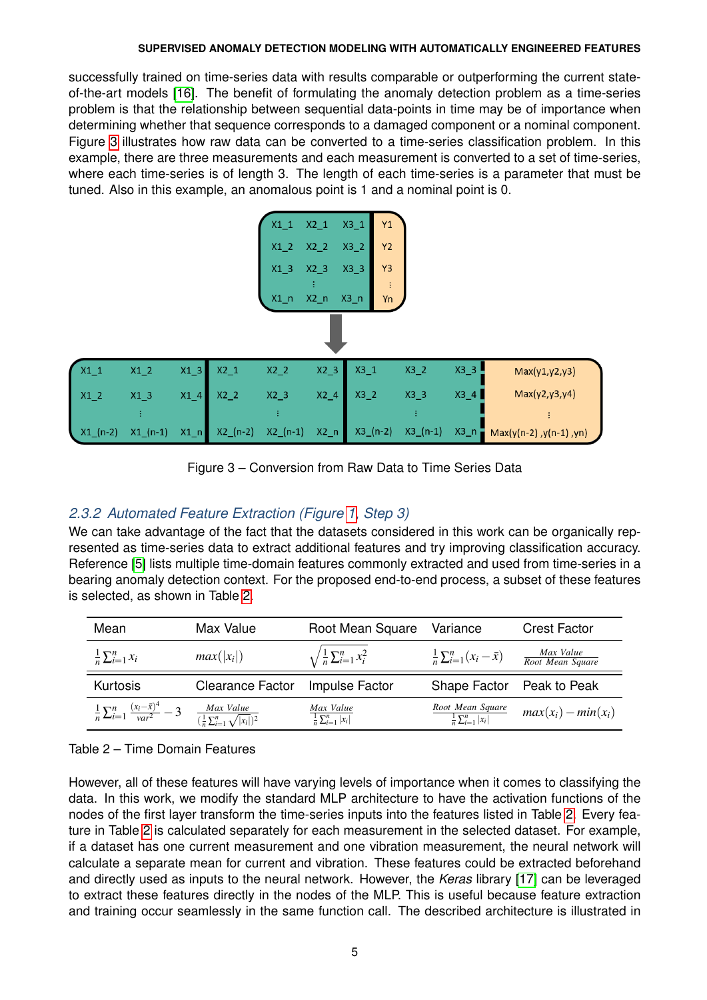successfully trained on time-series data with results comparable or outperforming the current stateof-the-art models [\[16\]](#page-13-15). The benefit of formulating the anomaly detection problem as a time-series problem is that the relationship between sequential data-points in time may be of importance when determining whether that sequence corresponds to a damaged component or a nominal component. Figure [3](#page-4-0) illustrates how raw data can be converted to a time-series classification problem. In this example, there are three measurements and each measurement is converted to a set of time-series, where each time-series is of length 3. The length of each time-series is a parameter that must be tuned. Also in this example, an anomalous point is 1 and a nominal point is 0.

<span id="page-4-0"></span>

Figure 3 – Conversion from Raw Data to Time Series Data

# *2.3.2 Automated Feature Extraction (Figure [1,](#page-2-0) Step 3)*

We can take advantage of the fact that the datasets considered in this work can be organically represented as time-series data to extract additional features and try improving classification accuracy. Reference [\[5\]](#page-13-6) lists multiple time-domain features commonly extracted and used from time-series in a bearing anomaly detection context. For the proposed end-to-end process, a subset of these features is selected, as shown in Table [2.](#page-4-1)

<span id="page-4-1"></span>

| Mean                                                       | Max Value                                                       | Root Mean Square                             | Variance                                            | <b>Crest Factor</b>           |
|------------------------------------------------------------|-----------------------------------------------------------------|----------------------------------------------|-----------------------------------------------------|-------------------------------|
| $\frac{1}{n}\sum_{i=1}^n x_i$                              | $max( x_i )$                                                    | $\sqrt{\frac{1}{n}\sum_{i=1}^n x_i^2}$       | $\frac{1}{n}\sum_{i=1}^n(x_i-\bar{x})$              | Max Value<br>Root Mean Square |
| Kurtosis                                                   | <b>Clearance Factor</b>                                         | Impulse Factor                               | Shape Factor                                        | Peak to Peak                  |
| $\frac{1}{n}\sum_{i=1}^{n}\frac{(x_i-\bar{x})^4}{var^2}-3$ | $\frac{Max Value}{(\frac{1}{n} \sum_{i=1}^{n} \sqrt{ x_i })^2}$ | Max Value<br>$\frac{1}{n}\sum_{i=1}^n  x_i $ | Root Mean Square<br>$\frac{1}{n}\sum_{i=1}^n  x_i $ | $max(x_i) - min(x_i)$         |

Table 2 – Time Domain Features

However, all of these features will have varying levels of importance when it comes to classifying the data. In this work, we modify the standard MLP architecture to have the activation functions of the nodes of the first layer transform the time-series inputs into the features listed in Table [2.](#page-4-1) Every feature in Table [2](#page-4-1) is calculated separately for each measurement in the selected dataset. For example, if a dataset has one current measurement and one vibration measurement, the neural network will calculate a separate mean for current and vibration. These features could be extracted beforehand and directly used as inputs to the neural network. However, the *Keras* library [\[17\]](#page-13-16) can be leveraged to extract these features directly in the nodes of the MLP. This is useful because feature extraction and training occur seamlessly in the same function call. The described architecture is illustrated in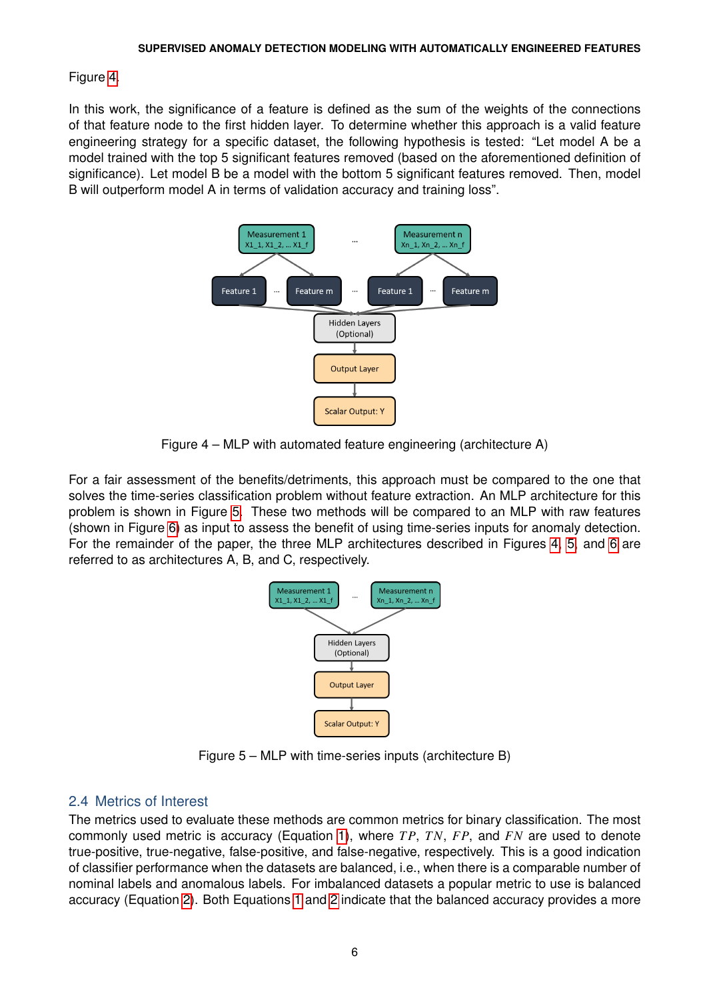### Figure [4.](#page-5-0)

<span id="page-5-0"></span>In this work, the significance of a feature is defined as the sum of the weights of the connections of that feature node to the first hidden layer. To determine whether this approach is a valid feature engineering strategy for a specific dataset, the following hypothesis is tested: "Let model A be a model trained with the top 5 significant features removed (based on the aforementioned definition of significance). Let model B be a model with the bottom 5 significant features removed. Then, model B will outperform model A in terms of validation accuracy and training loss".



Figure 4 – MLP with automated feature engineering (architecture A)

<span id="page-5-1"></span>For a fair assessment of the benefits/detriments, this approach must be compared to the one that solves the time-series classification problem without feature extraction. An MLP architecture for this problem is shown in Figure [5.](#page-5-1) These two methods will be compared to an MLP with raw features (shown in Figure [6\)](#page-6-0) as input to assess the benefit of using time-series inputs for anomaly detection. For the remainder of the paper, the three MLP architectures described in Figures [4,](#page-5-0) [5,](#page-5-1) and [6](#page-6-0) are referred to as architectures A, B, and C, respectively.



Figure 5 – MLP with time-series inputs (architecture B)

## 2.4 Metrics of Interest

The metrics used to evaluate these methods are common metrics for binary classification. The most commonly used metric is accuracy (Equation [1\)](#page-6-1), where *T P*, *TN*, *FP*, and *FN* are used to denote true-positive, true-negative, false-positive, and false-negative, respectively. This is a good indication of classifier performance when the datasets are balanced, i.e., when there is a comparable number of nominal labels and anomalous labels. For imbalanced datasets a popular metric to use is balanced accuracy (Equation [2\)](#page-6-2). Both Equations [1](#page-6-1) and [2](#page-6-2) indicate that the balanced accuracy provides a more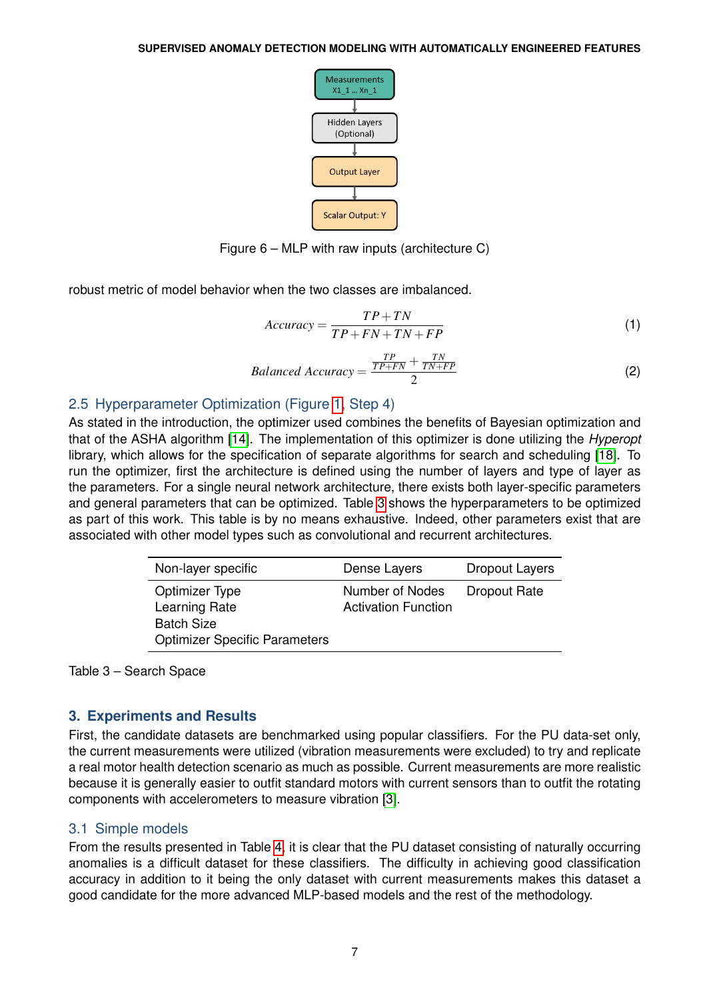

Figure 6 – MLP with raw inputs (architecture C)

<span id="page-6-1"></span><span id="page-6-0"></span>robust metric of model behavior when the two classes are imbalanced.

$$
Accuracy = \frac{TP + TN}{TP + FN + TN + FP}
$$
\n(1)

$$
Balanced Accuracy = \frac{\frac{TP}{TP+FN} + \frac{TN}{TN+FP}}{2}
$$
 (2)

# <span id="page-6-2"></span>2.5 Hyperparameter Optimization (Figure [1,](#page-2-0) Step 4)

As stated in the introduction, the optimizer used combines the benefits of Bayesian optimization and that of the ASHA algorithm [\[14\]](#page-13-11). The implementation of this optimizer is done utilizing the *Hyperopt* library, which allows for the specification of separate algorithms for search and scheduling [\[18\]](#page-13-17). To run the optimizer, first the architecture is defined using the number of layers and type of layer as the parameters. For a single neural network architecture, there exists both layer-specific parameters and general parameters that can be optimized. Table [3](#page-6-3) shows the hyperparameters to be optimized as part of this work. This table is by no means exhaustive. Indeed, other parameters exist that are associated with other model types such as convolutional and recurrent architectures.

<span id="page-6-3"></span>

| Non-layer specific                                                                           | Dense Layers                                  | <b>Dropout Layers</b> |
|----------------------------------------------------------------------------------------------|-----------------------------------------------|-----------------------|
| Optimizer Type<br>Learning Rate<br><b>Batch Size</b><br><b>Optimizer Specific Parameters</b> | Number of Nodes<br><b>Activation Function</b> | <b>Dropout Rate</b>   |

Table 3 – Search Space

# **3. Experiments and Results**

First, the candidate datasets are benchmarked using popular classifiers. For the PU data-set only, the current measurements were utilized (vibration measurements were excluded) to try and replicate a real motor health detection scenario as much as possible. Current measurements are more realistic because it is generally easier to outfit standard motors with current sensors than to outfit the rotating components with accelerometers to measure vibration [\[3\]](#page-13-3).

# 3.1 Simple models

From the results presented in Table [4,](#page-7-0) it is clear that the PU dataset consisting of naturally occurring anomalies is a difficult dataset for these classifiers. The difficulty in achieving good classification accuracy in addition to it being the only dataset with current measurements makes this dataset a good candidate for the more advanced MLP-based models and the rest of the methodology.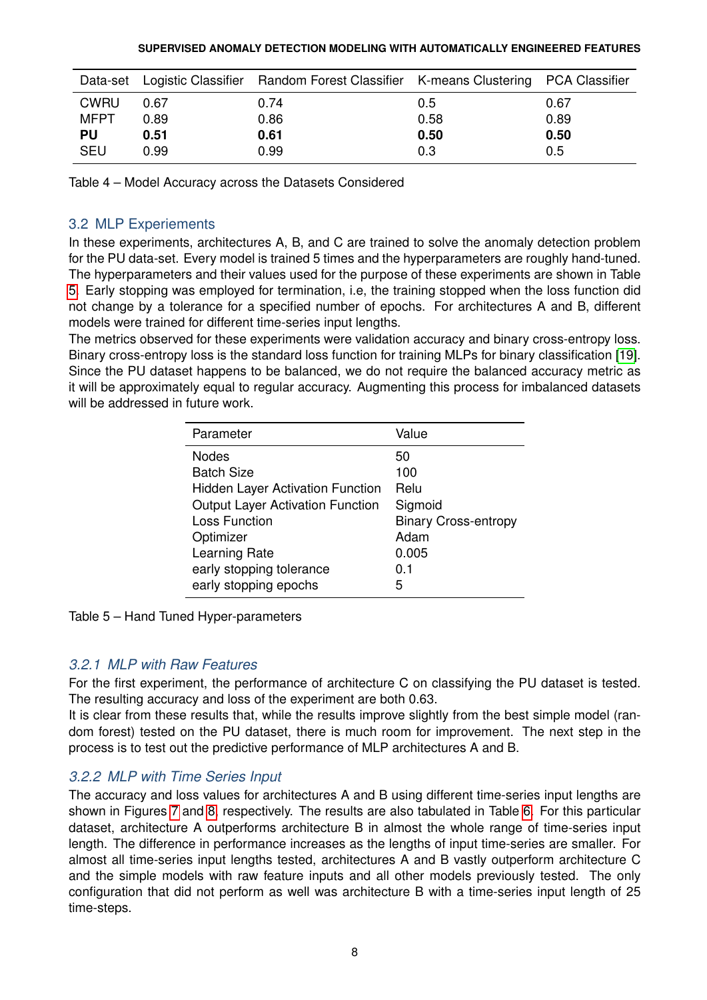<span id="page-7-0"></span>

|             |      | Data-set Logistic Classifier Random Forest Classifier K-means Clustering PCA Classifier |      |      |
|-------------|------|-----------------------------------------------------------------------------------------|------|------|
| <b>CWRU</b> | 0.67 | 0.74                                                                                    | 0.5  | 0.67 |
| MFPT        | 0.89 | 0.86                                                                                    | 0.58 | 0.89 |
| PU          | 0.51 | 0.61                                                                                    | 0.50 | 0.50 |
| <b>SEU</b>  | 0.99 | 0.99                                                                                    | 0.3  | 0.5  |

Table 4 – Model Accuracy across the Datasets Considered

## 3.2 MLP Experiements

In these experiments, architectures A, B, and C are trained to solve the anomaly detection problem for the PU data-set. Every model is trained 5 times and the hyperparameters are roughly hand-tuned. The hyperparameters and their values used for the purpose of these experiments are shown in Table [5.](#page-7-1) Early stopping was employed for termination, i.e, the training stopped when the loss function did not change by a tolerance for a specified number of epochs. For architectures A and B, different models were trained for different time-series input lengths.

<span id="page-7-1"></span>The metrics observed for these experiments were validation accuracy and binary cross-entropy loss. Binary cross-entropy loss is the standard loss function for training MLPs for binary classification [\[19\]](#page-13-18). Since the PU dataset happens to be balanced, we do not require the balanced accuracy metric as it will be approximately equal to regular accuracy. Augmenting this process for imbalanced datasets will be addressed in future work.

| Parameter                               | Value                       |
|-----------------------------------------|-----------------------------|
| <b>Nodes</b>                            | 50                          |
| <b>Batch Size</b>                       | 100                         |
| <b>Hidden Layer Activation Function</b> | Relu                        |
| <b>Output Layer Activation Function</b> | Sigmoid                     |
| <b>Loss Function</b>                    | <b>Binary Cross-entropy</b> |
| Optimizer                               | Adam                        |
| Learning Rate                           | 0.005                       |
| early stopping tolerance                | 0.1                         |
| early stopping epochs                   | 5                           |

Table 5 – Hand Tuned Hyper-parameters

## *3.2.1 MLP with Raw Features*

For the first experiment, the performance of architecture C on classifying the PU dataset is tested. The resulting accuracy and loss of the experiment are both 0.63.

It is clear from these results that, while the results improve slightly from the best simple model (random forest) tested on the PU dataset, there is much room for improvement. The next step in the process is to test out the predictive performance of MLP architectures A and B.

## *3.2.2 MLP with Time Series Input*

The accuracy and loss values for architectures A and B using different time-series input lengths are shown in Figures [7](#page-8-0) and [8,](#page-9-0) respectively. The results are also tabulated in Table [6.](#page-8-1) For this particular dataset, architecture A outperforms architecture B in almost the whole range of time-series input length. The difference in performance increases as the lengths of input time-series are smaller. For almost all time-series input lengths tested, architectures A and B vastly outperform architecture C and the simple models with raw feature inputs and all other models previously tested. The only configuration that did not perform as well was architecture B with a time-series input length of 25 time-steps.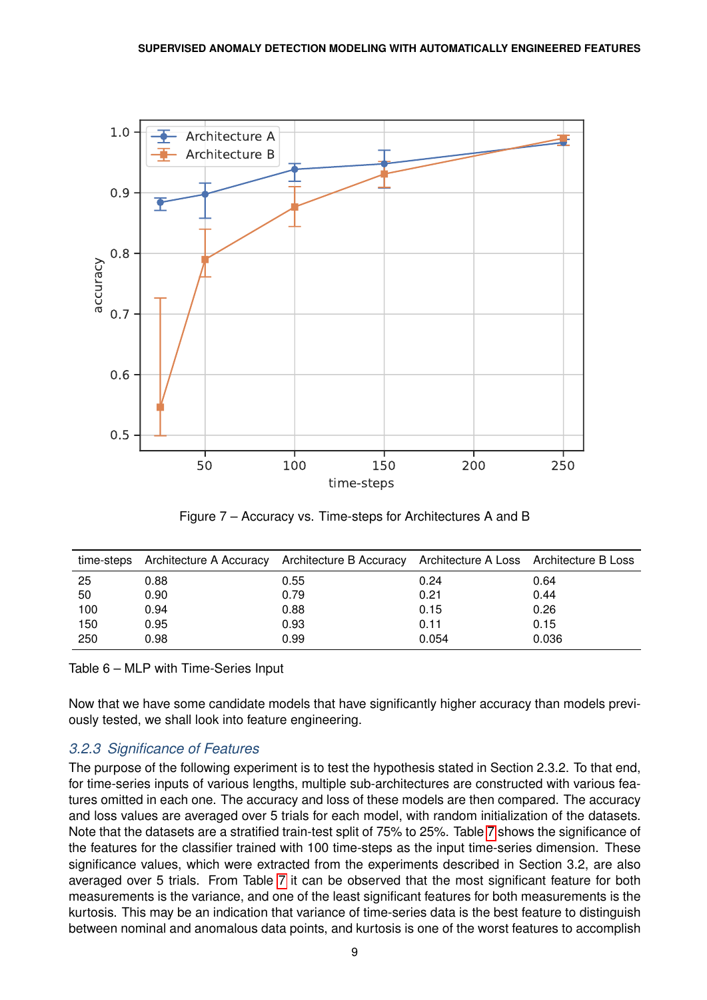<span id="page-8-0"></span>

Figure 7 – Accuracy vs. Time-steps for Architectures A and B

<span id="page-8-1"></span>

| time-steps |      | Architecture A Accuracy Architecture B Accuracy Architecture A Loss Architecture B Loss |       |       |
|------------|------|-----------------------------------------------------------------------------------------|-------|-------|
| 25         | 0.88 | 0.55                                                                                    | 0.24  | 0.64  |
| 50         | 0.90 | 0.79                                                                                    | 0.21  | 0.44  |
| 100        | 0.94 | 0.88                                                                                    | 0.15  | 0.26  |
| 150        | 0.95 | 0.93                                                                                    | 0.11  | 0.15  |
| 250        | 0.98 | 0.99                                                                                    | 0.054 | 0.036 |

Table 6 – MLP with Time-Series Input

Now that we have some candidate models that have significantly higher accuracy than models previously tested, we shall look into feature engineering.

# *3.2.3 Significance of Features*

The purpose of the following experiment is to test the hypothesis stated in Section 2.3.2. To that end, for time-series inputs of various lengths, multiple sub-architectures are constructed with various features omitted in each one. The accuracy and loss of these models are then compared. The accuracy and loss values are averaged over 5 trials for each model, with random initialization of the datasets. Note that the datasets are a stratified train-test split of 75% to 25%. Table [7](#page-9-1) shows the significance of the features for the classifier trained with 100 time-steps as the input time-series dimension. These significance values, which were extracted from the experiments described in Section 3.2, are also averaged over 5 trials. From Table [7](#page-9-1) it can be observed that the most significant feature for both measurements is the variance, and one of the least significant features for both measurements is the kurtosis. This may be an indication that variance of time-series data is the best feature to distinguish between nominal and anomalous data points, and kurtosis is one of the worst features to accomplish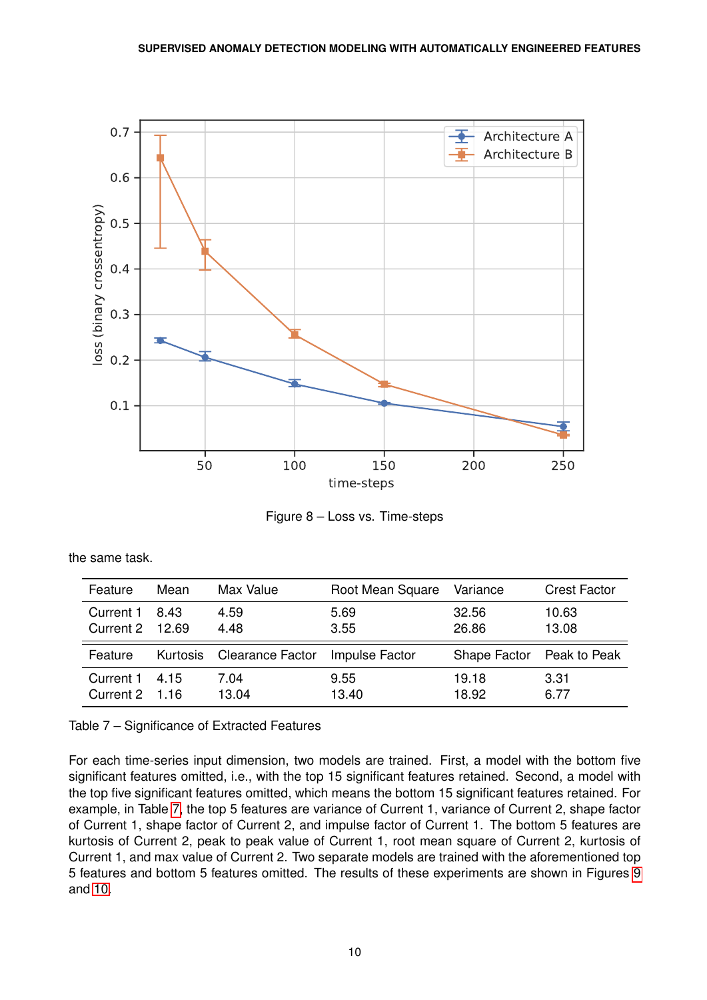<span id="page-9-0"></span>

Figure 8 – Loss vs. Time-steps

<span id="page-9-1"></span>

| Feature                      | Mean | Max Value                 | Root Mean Square | Variance       | <b>Crest Factor</b>       |
|------------------------------|------|---------------------------|------------------|----------------|---------------------------|
| Current 1<br>Current 2 12.69 | 8.43 | 4.59<br>4.48              | 5.69<br>3.55     | 32.56<br>26.86 | 10.63<br>13.08            |
|                              |      |                           |                  |                |                           |
| Feature                      |      | Kurtosis Clearance Factor | Impulse Factor   |                | Shape Factor Peak to Peak |

the same task.

Table 7 – Significance of Extracted Features

For each time-series input dimension, two models are trained. First, a model with the bottom five significant features omitted, i.e., with the top 15 significant features retained. Second, a model with the top five significant features omitted, which means the bottom 15 significant features retained. For example, in Table [7,](#page-9-1) the top 5 features are variance of Current 1, variance of Current 2, shape factor of Current 1, shape factor of Current 2, and impulse factor of Current 1. The bottom 5 features are kurtosis of Current 2, peak to peak value of Current 1, root mean square of Current 2, kurtosis of Current 1, and max value of Current 2. Two separate models are trained with the aforementioned top 5 features and bottom 5 features omitted. The results of these experiments are shown in Figures [9](#page-10-0) and [10.](#page-11-0)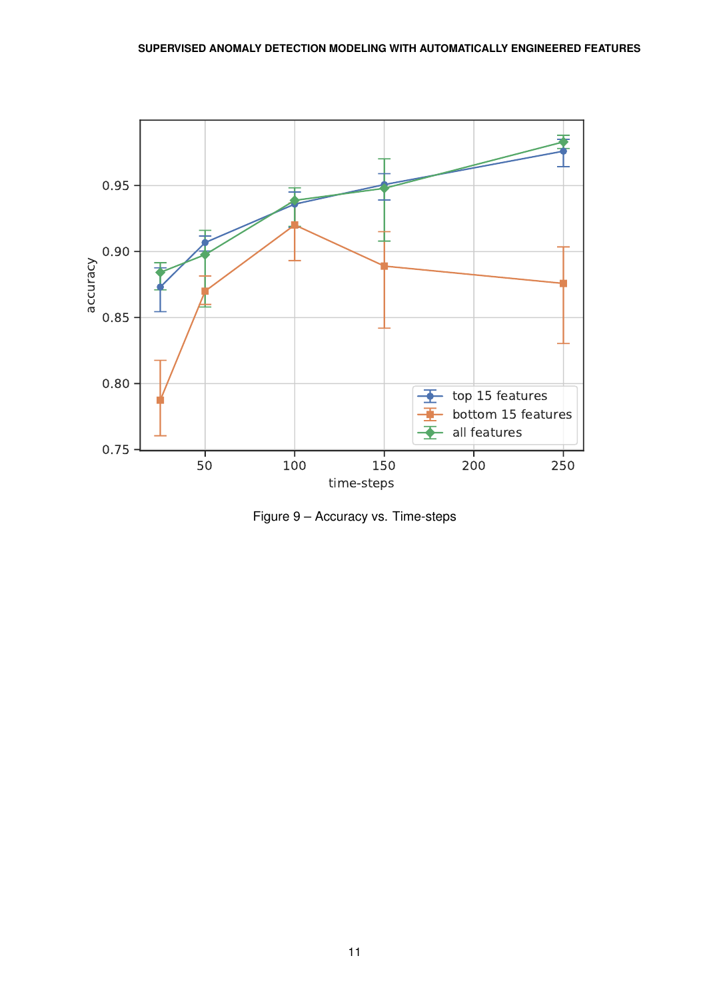<span id="page-10-0"></span>

Figure 9 – Accuracy vs. Time-steps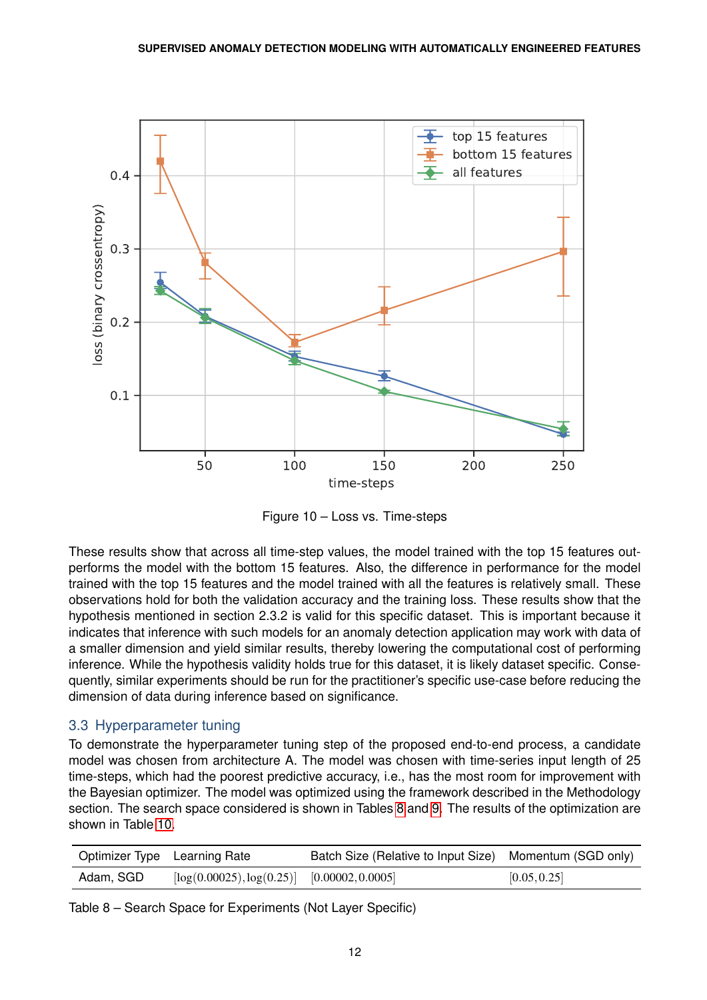<span id="page-11-0"></span>

Figure 10 – Loss vs. Time-steps

These results show that across all time-step values, the model trained with the top 15 features outperforms the model with the bottom 15 features. Also, the difference in performance for the model trained with the top 15 features and the model trained with all the features is relatively small. These observations hold for both the validation accuracy and the training loss. These results show that the hypothesis mentioned in section 2.3.2 is valid for this specific dataset. This is important because it indicates that inference with such models for an anomaly detection application may work with data of a smaller dimension and yield similar results, thereby lowering the computational cost of performing inference. While the hypothesis validity holds true for this dataset, it is likely dataset specific. Consequently, similar experiments should be run for the practitioner's specific use-case before reducing the dimension of data during inference based on significance.

## 3.3 Hyperparameter tuning

To demonstrate the hyperparameter tuning step of the proposed end-to-end process, a candidate model was chosen from architecture A. The model was chosen with time-series input length of 25 time-steps, which had the poorest predictive accuracy, i.e., has the most room for improvement with the Bayesian optimizer. The model was optimized using the framework described in the Methodology section. The search space considered is shown in Tables [8](#page-11-1) and [9.](#page-12-0) The results of the optimization are shown in Table [10.](#page-12-1)

<span id="page-11-1"></span>

|           | Optimizer Type Learning Rate                    | Batch Size (Relative to Input Size) Momentum (SGD only) |              |
|-----------|-------------------------------------------------|---------------------------------------------------------|--------------|
| Adam, SGD | $[\log(0.00025), \log(0.25)]$ [0.00002, 0.0005] |                                                         | [0.05, 0.25] |

Table 8 – Search Space for Experiments (Not Layer Specific)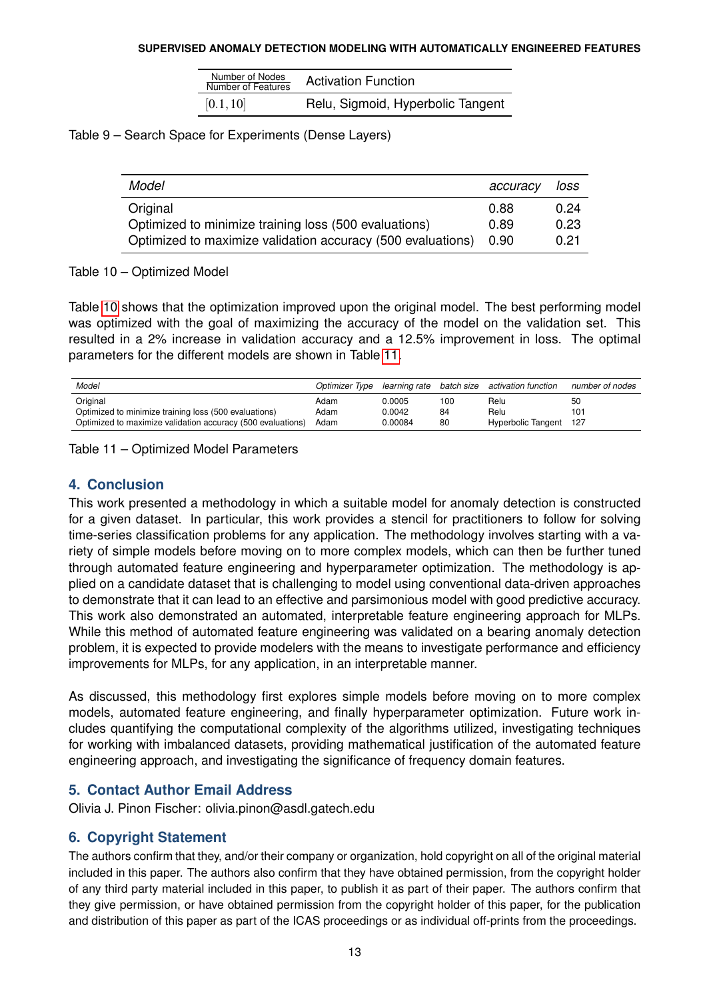| Number of Nodes<br>Number of Features | <b>Activation Function</b>        |
|---------------------------------------|-----------------------------------|
| [0.1, 10]                             | Relu, Sigmoid, Hyperbolic Tangent |

<span id="page-12-1"></span><span id="page-12-0"></span>Table 9 – Search Space for Experiments (Dense Layers)

| Model                                                       | accuracy | loss |
|-------------------------------------------------------------|----------|------|
| Original                                                    | 0.88     | 0.24 |
| Optimized to minimize training loss (500 evaluations)       | 0.89     | 0.23 |
| Optimized to maximize validation accuracy (500 evaluations) | 0.90     | 0.21 |

Table 10 – Optimized Model

Table [10](#page-12-1) shows that the optimization improved upon the original model. The best performing model was optimized with the goal of maximizing the accuracy of the model on the validation set. This resulted in a 2% increase in validation accuracy and a 12.5% improvement in loss. The optimal parameters for the different models are shown in Table [11.](#page-12-2)

<span id="page-12-2"></span>

| Model                                                       | Optimizer Type |         |     | learning rate batch size activation function | number of nodes |
|-------------------------------------------------------------|----------------|---------|-----|----------------------------------------------|-----------------|
| Original                                                    | Adam           | 0.0005  | 100 | Relu                                         | 50              |
| Optimized to minimize training loss (500 evaluations)       | Adam           | 0.0042  | 84  | Relu                                         | 101             |
| Optimized to maximize validation accuracy (500 evaluations) | Adam           | 0.00084 | 80  | Hyperbolic Tangent 127                       |                 |

Table 11 – Optimized Model Parameters

## **4. Conclusion**

This work presented a methodology in which a suitable model for anomaly detection is constructed for a given dataset. In particular, this work provides a stencil for practitioners to follow for solving time-series classification problems for any application. The methodology involves starting with a variety of simple models before moving on to more complex models, which can then be further tuned through automated feature engineering and hyperparameter optimization. The methodology is applied on a candidate dataset that is challenging to model using conventional data-driven approaches to demonstrate that it can lead to an effective and parsimonious model with good predictive accuracy. This work also demonstrated an automated, interpretable feature engineering approach for MLPs. While this method of automated feature engineering was validated on a bearing anomaly detection problem, it is expected to provide modelers with the means to investigate performance and efficiency improvements for MLPs, for any application, in an interpretable manner.

As discussed, this methodology first explores simple models before moving on to more complex models, automated feature engineering, and finally hyperparameter optimization. Future work includes quantifying the computational complexity of the algorithms utilized, investigating techniques for working with imbalanced datasets, providing mathematical justification of the automated feature engineering approach, and investigating the significance of frequency domain features.

## **5. Contact Author Email Address**

Olivia J. Pinon Fischer: olivia.pinon@asdl.gatech.edu

# **6. Copyright Statement**

The authors confirm that they, and/or their company or organization, hold copyright on all of the original material included in this paper. The authors also confirm that they have obtained permission, from the copyright holder of any third party material included in this paper, to publish it as part of their paper. The authors confirm that they give permission, or have obtained permission from the copyright holder of this paper, for the publication and distribution of this paper as part of the ICAS proceedings or as individual off-prints from the proceedings.